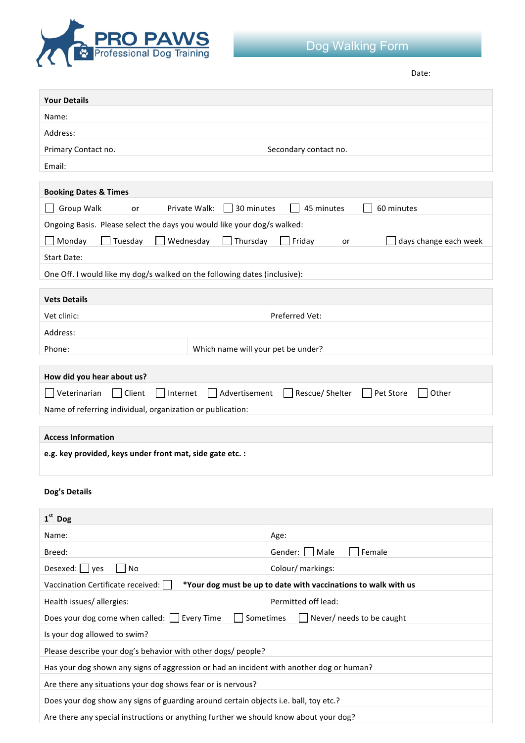

Date: 

| <b>Your Details</b>                                                                                 |                                       |  |  |
|-----------------------------------------------------------------------------------------------------|---------------------------------------|--|--|
| Name:                                                                                               |                                       |  |  |
| Address:                                                                                            |                                       |  |  |
| Primary Contact no.                                                                                 | Secondary contact no.                 |  |  |
| Email:                                                                                              |                                       |  |  |
|                                                                                                     |                                       |  |  |
| <b>Booking Dates &amp; Times</b><br>Private Walk:<br>30 minutes                                     | 45 minutes<br>60 minutes              |  |  |
| Group Walk<br>or                                                                                    |                                       |  |  |
| Ongoing Basis. Please select the days you would like your dog/s walked:                             |                                       |  |  |
| Monday<br>Tuesday<br>Wednesday<br>Thursday<br><b>Start Date:</b>                                    | Friday<br>days change each week<br>or |  |  |
|                                                                                                     |                                       |  |  |
| One Off. I would like my dog/s walked on the following dates (inclusive):                           |                                       |  |  |
| <b>Vets Details</b>                                                                                 |                                       |  |  |
| Vet clinic:                                                                                         | Preferred Vet:                        |  |  |
| Address:                                                                                            |                                       |  |  |
| Which name will your pet be under?<br>Phone:                                                        |                                       |  |  |
|                                                                                                     |                                       |  |  |
| How did you hear about us?                                                                          |                                       |  |  |
| Veterinarian<br>    Client<br>Internet<br>Advertisement                                             | Rescue/ Shelter<br>Pet Store<br>Other |  |  |
| Name of referring individual, organization or publication:                                          |                                       |  |  |
| <b>Access Information</b>                                                                           |                                       |  |  |
| e.g. key provided, keys under front mat, side gate etc. :                                           |                                       |  |  |
|                                                                                                     |                                       |  |  |
| Dog's Details                                                                                       |                                       |  |  |
| $1st$ Dog                                                                                           |                                       |  |  |
| Name:                                                                                               | Age:                                  |  |  |
| Breed:                                                                                              | Gender:  <br>Female<br>Male           |  |  |
| Desexed:<br>No<br>yes                                                                               | Colour/ markings:                     |  |  |
| Vaccination Certificate received:<br>*Your dog must be up to date with vaccinations to walk with us |                                       |  |  |
| Health issues/allergies:                                                                            | Permitted off lead:                   |  |  |
| Does your dog come when called: [<br>Sometimes<br><b>Every Time</b><br>Never/ needs to be caught    |                                       |  |  |
| Is your dog allowed to swim?                                                                        |                                       |  |  |
| Please describe your dog's behavior with other dogs/ people?                                        |                                       |  |  |
| Has your dog shown any signs of aggression or had an incident with another dog or human?            |                                       |  |  |
| Are there any situations your dog shows fear or is nervous?                                         |                                       |  |  |
| Does your dog show any signs of guarding around certain objects i.e. ball, toy etc.?                |                                       |  |  |
| Are there any special instructions or anything further we should know about your dog?               |                                       |  |  |